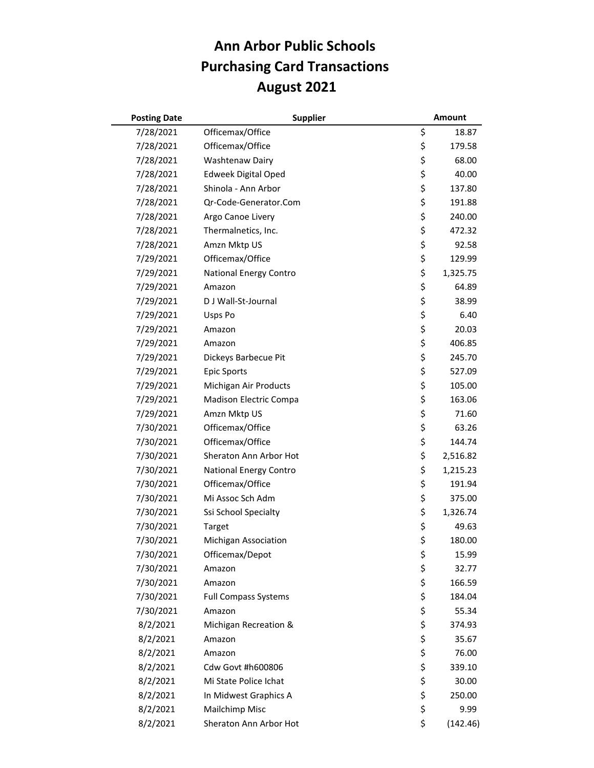## **Ann Arbor Public Schools Purchasing Card Transactions August 2021**

| <b>Posting Date</b> | <b>Supplier</b>             | <b>Amount</b>  |
|---------------------|-----------------------------|----------------|
| 7/28/2021           | Officemax/Office            | \$<br>18.87    |
| 7/28/2021           | Officemax/Office            | \$<br>179.58   |
| 7/28/2021           | Washtenaw Dairy             | \$<br>68.00    |
| 7/28/2021           | <b>Edweek Digital Oped</b>  | \$<br>40.00    |
| 7/28/2021           | Shinola - Ann Arbor         | \$<br>137.80   |
| 7/28/2021           | Qr-Code-Generator.Com       | \$<br>191.88   |
| 7/28/2021           | Argo Canoe Livery           | \$<br>240.00   |
| 7/28/2021           | Thermalnetics, Inc.         | \$<br>472.32   |
| 7/28/2021           | Amzn Mktp US                | \$<br>92.58    |
| 7/29/2021           | Officemax/Office            | \$<br>129.99   |
| 7/29/2021           | National Energy Contro      | \$<br>1,325.75 |
| 7/29/2021           | Amazon                      | \$<br>64.89    |
| 7/29/2021           | D J Wall-St-Journal         | \$<br>38.99    |
| 7/29/2021           | Usps Po                     | \$<br>6.40     |
| 7/29/2021           | Amazon                      | \$<br>20.03    |
| 7/29/2021           | Amazon                      | \$<br>406.85   |
| 7/29/2021           | Dickeys Barbecue Pit        | \$<br>245.70   |
| 7/29/2021           | <b>Epic Sports</b>          | \$<br>527.09   |
| 7/29/2021           | Michigan Air Products       | \$<br>105.00   |
| 7/29/2021           | Madison Electric Compa      | \$<br>163.06   |
| 7/29/2021           | Amzn Mktp US                | \$<br>71.60    |
| 7/30/2021           | Officemax/Office            | \$<br>63.26    |
| 7/30/2021           | Officemax/Office            | \$<br>144.74   |
| 7/30/2021           | Sheraton Ann Arbor Hot      | \$<br>2,516.82 |
| 7/30/2021           | National Energy Contro      | \$<br>1,215.23 |
| 7/30/2021           | Officemax/Office            | \$<br>191.94   |
| 7/30/2021           | Mi Assoc Sch Adm            | \$<br>375.00   |
| 7/30/2021           | Ssi School Specialty        | \$<br>1,326.74 |
| 7/30/2021           | Target                      | \$<br>49.63    |
| 7/30/2021           | <b>Michigan Association</b> | \$<br>180.00   |
| 7/30/2021           | Officemax/Depot             | \$<br>15.99    |
| 7/30/2021           | Amazon                      | \$<br>32.77    |
| 7/30/2021           | Amazon                      | \$<br>166.59   |
| 7/30/2021           | <b>Full Compass Systems</b> | \$<br>184.04   |
| 7/30/2021           | Amazon                      | \$<br>55.34    |
| 8/2/2021            | Michigan Recreation &       | \$<br>374.93   |
| 8/2/2021            | Amazon                      | \$<br>35.67    |
| 8/2/2021            | Amazon                      | \$<br>76.00    |
| 8/2/2021            | Cdw Govt #h600806           | \$<br>339.10   |
| 8/2/2021            | Mi State Police Ichat       | \$<br>30.00    |
| 8/2/2021            | In Midwest Graphics A       | \$<br>250.00   |
| 8/2/2021            | Mailchimp Misc              | \$<br>9.99     |
| 8/2/2021            | Sheraton Ann Arbor Hot      | \$<br>(142.46) |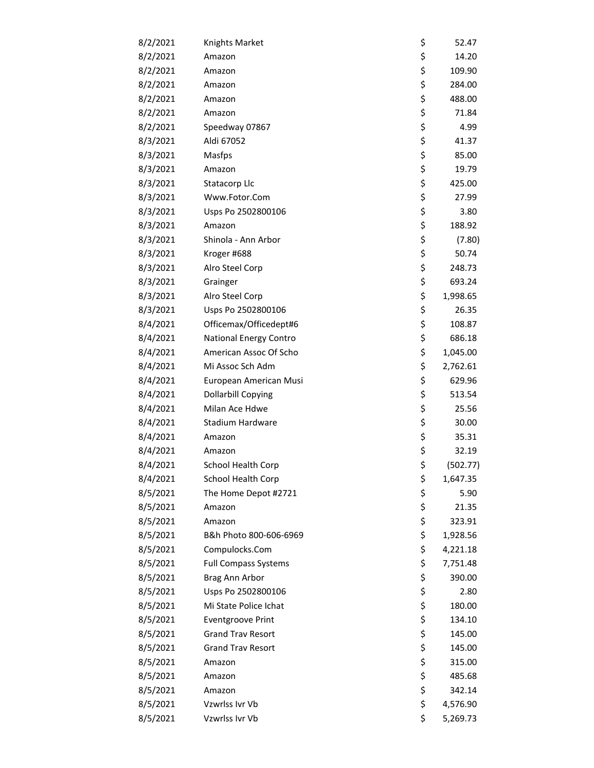| 8/2/2021 | Knights Market              | \$<br>52.47    |
|----------|-----------------------------|----------------|
| 8/2/2021 | Amazon                      | \$<br>14.20    |
| 8/2/2021 | Amazon                      | \$<br>109.90   |
| 8/2/2021 | Amazon                      | \$<br>284.00   |
| 8/2/2021 | Amazon                      | \$<br>488.00   |
| 8/2/2021 | Amazon                      | \$<br>71.84    |
| 8/2/2021 | Speedway 07867              | \$<br>4.99     |
| 8/3/2021 | Aldi 67052                  | \$<br>41.37    |
| 8/3/2021 | Masfps                      | \$<br>85.00    |
| 8/3/2021 | Amazon                      | \$<br>19.79    |
| 8/3/2021 | Statacorp Llc               | \$<br>425.00   |
| 8/3/2021 | Www.Fotor.Com               | \$<br>27.99    |
| 8/3/2021 | Usps Po 2502800106          | \$<br>3.80     |
| 8/3/2021 | Amazon                      | \$<br>188.92   |
| 8/3/2021 | Shinola - Ann Arbor         | \$<br>(7.80)   |
| 8/3/2021 | Kroger #688                 | \$<br>50.74    |
| 8/3/2021 | Alro Steel Corp             | \$<br>248.73   |
| 8/3/2021 | Grainger                    | \$<br>693.24   |
| 8/3/2021 | Alro Steel Corp             | \$<br>1,998.65 |
| 8/3/2021 | Usps Po 2502800106          | \$<br>26.35    |
| 8/4/2021 | Officemax/Officedept#6      | \$<br>108.87   |
| 8/4/2021 | National Energy Contro      | \$<br>686.18   |
| 8/4/2021 | American Assoc Of Scho      | \$<br>1,045.00 |
| 8/4/2021 | Mi Assoc Sch Adm            | \$<br>2,762.61 |
| 8/4/2021 | European American Musi      | \$<br>629.96   |
| 8/4/2021 | <b>Dollarbill Copying</b>   | \$<br>513.54   |
| 8/4/2021 | Milan Ace Hdwe              | \$<br>25.56    |
| 8/4/2021 | Stadium Hardware            | \$<br>30.00    |
| 8/4/2021 | Amazon                      | \$<br>35.31    |
| 8/4/2021 | Amazon                      | \$<br>32.19    |
| 8/4/2021 | School Health Corp          | \$<br>(502.77) |
| 8/4/2021 | School Health Corp          | \$<br>1,647.35 |
| 8/5/2021 | The Home Depot #2721        | \$<br>5.90     |
| 8/5/2021 | Amazon                      | \$<br>21.35    |
| 8/5/2021 | Amazon                      | \$<br>323.91   |
| 8/5/2021 | B&h Photo 800-606-6969      | \$<br>1,928.56 |
| 8/5/2021 | Compulocks.Com              | \$<br>4,221.18 |
| 8/5/2021 | <b>Full Compass Systems</b> | \$<br>7,751.48 |
| 8/5/2021 | Brag Ann Arbor              | \$<br>390.00   |
| 8/5/2021 | Usps Po 2502800106          | \$<br>2.80     |
| 8/5/2021 | Mi State Police Ichat       | \$<br>180.00   |
| 8/5/2021 | <b>Eventgroove Print</b>    | \$<br>134.10   |
| 8/5/2021 | <b>Grand Trav Resort</b>    | \$<br>145.00   |
| 8/5/2021 | <b>Grand Trav Resort</b>    | \$<br>145.00   |
| 8/5/2021 | Amazon                      | \$<br>315.00   |
| 8/5/2021 | Amazon                      | \$<br>485.68   |
| 8/5/2021 | Amazon                      | \$<br>342.14   |
| 8/5/2021 | Vzwrlss Ivr Vb              | \$<br>4,576.90 |
| 8/5/2021 | Vzwrlss Ivr Vb              | \$<br>5,269.73 |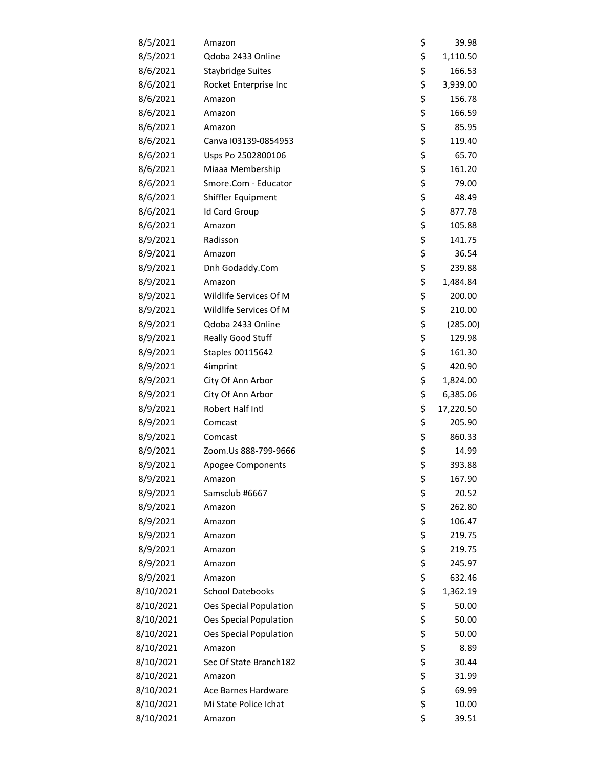| 8/5/2021  | Amazon                        | \$<br>39.98     |
|-----------|-------------------------------|-----------------|
| 8/5/2021  | Qdoba 2433 Online             | \$<br>1,110.50  |
| 8/6/2021  | <b>Staybridge Suites</b>      | \$<br>166.53    |
| 8/6/2021  | Rocket Enterprise Inc         | \$<br>3,939.00  |
| 8/6/2021  | Amazon                        | \$<br>156.78    |
| 8/6/2021  | Amazon                        | \$<br>166.59    |
| 8/6/2021  | Amazon                        | \$<br>85.95     |
| 8/6/2021  | Canva I03139-0854953          | \$<br>119.40    |
| 8/6/2021  | Usps Po 2502800106            | \$<br>65.70     |
| 8/6/2021  | Miaaa Membership              | \$<br>161.20    |
| 8/6/2021  | Smore.Com - Educator          | \$<br>79.00     |
| 8/6/2021  | Shiffler Equipment            | \$<br>48.49     |
| 8/6/2021  | Id Card Group                 | \$<br>877.78    |
| 8/6/2021  | Amazon                        | \$<br>105.88    |
| 8/9/2021  | Radisson                      | \$<br>141.75    |
| 8/9/2021  | Amazon                        | \$<br>36.54     |
| 8/9/2021  | Dnh Godaddy.Com               | \$<br>239.88    |
| 8/9/2021  | Amazon                        | \$<br>1,484.84  |
| 8/9/2021  | Wildlife Services Of M        | \$<br>200.00    |
| 8/9/2021  | Wildlife Services Of M        | \$<br>210.00    |
| 8/9/2021  | Qdoba 2433 Online             | \$<br>(285.00)  |
| 8/9/2021  | Really Good Stuff             | \$<br>129.98    |
| 8/9/2021  | Staples 00115642              | \$<br>161.30    |
| 8/9/2021  | 4imprint                      | \$<br>420.90    |
| 8/9/2021  | City Of Ann Arbor             | \$<br>1,824.00  |
| 8/9/2021  | City Of Ann Arbor             | \$<br>6,385.06  |
| 8/9/2021  | Robert Half Intl              | \$<br>17,220.50 |
| 8/9/2021  | Comcast                       | \$<br>205.90    |
| 8/9/2021  | Comcast                       | \$<br>860.33    |
| 8/9/2021  | Zoom.Us 888-799-9666          | \$<br>14.99     |
| 8/9/2021  | Apogee Components             | \$<br>393.88    |
| 8/9/2021  | Amazon                        | \$<br>167.90    |
| 8/9/2021  | Samsclub #6667                | \$<br>20.52     |
| 8/9/2021  | Amazon                        | \$<br>262.80    |
| 8/9/2021  | Amazon                        | \$<br>106.47    |
| 8/9/2021  | Amazon                        | \$<br>219.75    |
| 8/9/2021  | Amazon                        | \$<br>219.75    |
| 8/9/2021  | Amazon                        | \$<br>245.97    |
| 8/9/2021  | Amazon                        | \$<br>632.46    |
| 8/10/2021 | <b>School Datebooks</b>       | \$<br>1,362.19  |
| 8/10/2021 | <b>Oes Special Population</b> | \$<br>50.00     |
| 8/10/2021 | Oes Special Population        | \$<br>50.00     |
| 8/10/2021 | Oes Special Population        | \$<br>50.00     |
| 8/10/2021 | Amazon                        | \$<br>8.89      |
| 8/10/2021 | Sec Of State Branch182        | \$<br>30.44     |
| 8/10/2021 | Amazon                        | \$<br>31.99     |
| 8/10/2021 | Ace Barnes Hardware           | \$<br>69.99     |
| 8/10/2021 | Mi State Police Ichat         | \$<br>10.00     |
| 8/10/2021 | Amazon                        | \$<br>39.51     |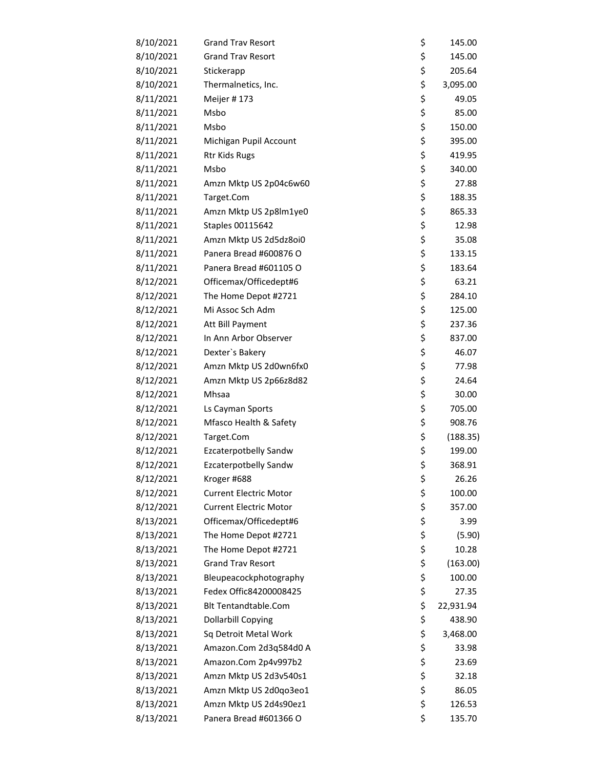| 8/10/2021 | <b>Grand Trav Resort</b>      | \$<br>145.00    |
|-----------|-------------------------------|-----------------|
| 8/10/2021 | <b>Grand Trav Resort</b>      | \$<br>145.00    |
| 8/10/2021 | Stickerapp                    | \$<br>205.64    |
| 8/10/2021 | Thermalnetics, Inc.           | \$<br>3,095.00  |
| 8/11/2021 | Meijer #173                   | \$<br>49.05     |
| 8/11/2021 | Msbo                          | \$<br>85.00     |
| 8/11/2021 | Msbo                          | \$<br>150.00    |
| 8/11/2021 | Michigan Pupil Account        | \$<br>395.00    |
| 8/11/2021 | Rtr Kids Rugs                 | \$<br>419.95    |
| 8/11/2021 | Msbo                          | \$<br>340.00    |
| 8/11/2021 | Amzn Mktp US 2p04c6w60        | \$<br>27.88     |
| 8/11/2021 | Target.Com                    | \$<br>188.35    |
| 8/11/2021 | Amzn Mktp US 2p8lm1ye0        | \$<br>865.33    |
| 8/11/2021 | Staples 00115642              | \$<br>12.98     |
| 8/11/2021 | Amzn Mktp US 2d5dz8oi0        | \$<br>35.08     |
| 8/11/2021 | Panera Bread #600876 O        | \$<br>133.15    |
| 8/11/2021 | Panera Bread #601105 O        | \$<br>183.64    |
| 8/12/2021 | Officemax/Officedept#6        | \$<br>63.21     |
| 8/12/2021 | The Home Depot #2721          | \$<br>284.10    |
| 8/12/2021 | Mi Assoc Sch Adm              | \$<br>125.00    |
| 8/12/2021 | Att Bill Payment              | \$<br>237.36    |
| 8/12/2021 | In Ann Arbor Observer         | \$<br>837.00    |
| 8/12/2021 | Dexter's Bakery               | \$<br>46.07     |
| 8/12/2021 | Amzn Mktp US 2d0wn6fx0        | \$<br>77.98     |
| 8/12/2021 | Amzn Mktp US 2p66z8d82        | \$<br>24.64     |
| 8/12/2021 | Mhsaa                         | \$<br>30.00     |
| 8/12/2021 | Ls Cayman Sports              | \$<br>705.00    |
| 8/12/2021 | Mfasco Health & Safety        | \$<br>908.76    |
| 8/12/2021 | Target.Com                    | \$<br>(188.35)  |
| 8/12/2021 | Ezcaterpotbelly Sandw         | \$<br>199.00    |
| 8/12/2021 | <b>Ezcaterpotbelly Sandw</b>  | \$<br>368.91    |
| 8/12/2021 | Kroger #688                   | \$<br>26.26     |
| 8/12/2021 | <b>Current Electric Motor</b> | \$<br>100.00    |
| 8/12/2021 | <b>Current Electric Motor</b> | \$<br>357.00    |
| 8/13/2021 | Officemax/Officedept#6        | \$<br>3.99      |
| 8/13/2021 | The Home Depot #2721          | \$<br>(5.90)    |
| 8/13/2021 | The Home Depot #2721          | \$<br>10.28     |
| 8/13/2021 | <b>Grand Trav Resort</b>      | \$<br>(163.00)  |
| 8/13/2021 | Bleupeacockphotography        | \$<br>100.00    |
| 8/13/2021 | Fedex Offic84200008425        | \$<br>27.35     |
| 8/13/2021 | <b>Blt Tentandtable.Com</b>   | \$<br>22,931.94 |
| 8/13/2021 | Dollarbill Copying            | \$<br>438.90    |
| 8/13/2021 | Sq Detroit Metal Work         | \$<br>3,468.00  |
| 8/13/2021 | Amazon.Com 2d3q584d0 A        | \$<br>33.98     |
| 8/13/2021 | Amazon.Com 2p4v997b2          | \$<br>23.69     |
| 8/13/2021 | Amzn Mktp US 2d3v540s1        | \$<br>32.18     |
| 8/13/2021 | Amzn Mktp US 2d0qo3eo1        | \$<br>86.05     |
| 8/13/2021 | Amzn Mktp US 2d4s90ez1        | \$<br>126.53    |
| 8/13/2021 | Panera Bread #601366 O        | \$<br>135.70    |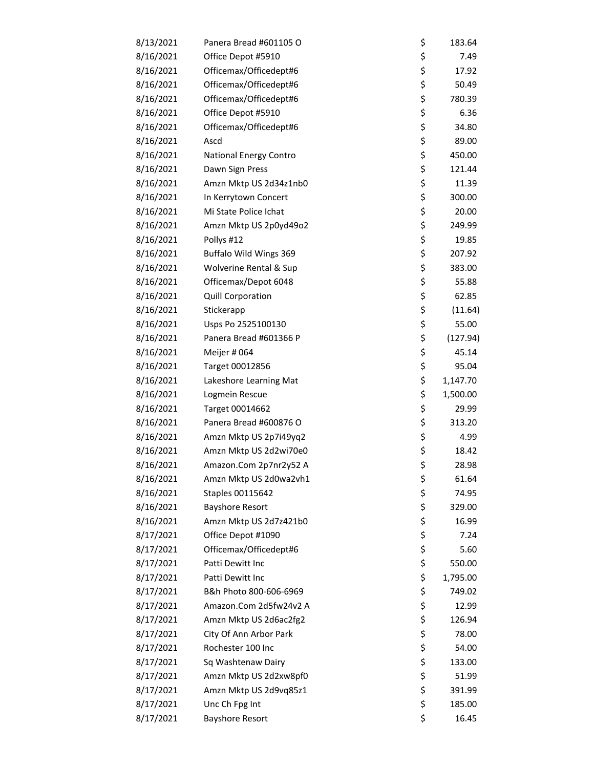| 8/13/2021 | Panera Bread #601105 O        | \$<br>183.64   |
|-----------|-------------------------------|----------------|
| 8/16/2021 | Office Depot #5910            | \$<br>7.49     |
| 8/16/2021 | Officemax/Officedept#6        | \$<br>17.92    |
| 8/16/2021 | Officemax/Officedept#6        | \$<br>50.49    |
| 8/16/2021 | Officemax/Officedept#6        | \$<br>780.39   |
| 8/16/2021 | Office Depot #5910            | \$<br>6.36     |
| 8/16/2021 | Officemax/Officedept#6        | \$<br>34.80    |
| 8/16/2021 | Ascd                          | \$<br>89.00    |
| 8/16/2021 | <b>National Energy Contro</b> | \$<br>450.00   |
| 8/16/2021 | Dawn Sign Press               | \$<br>121.44   |
| 8/16/2021 | Amzn Mktp US 2d34z1nb0        | \$<br>11.39    |
| 8/16/2021 | In Kerrytown Concert          | \$<br>300.00   |
| 8/16/2021 | Mi State Police Ichat         | \$<br>20.00    |
| 8/16/2021 | Amzn Mktp US 2p0yd49o2        | \$<br>249.99   |
| 8/16/2021 | Pollys #12                    | \$<br>19.85    |
| 8/16/2021 | Buffalo Wild Wings 369        | \$<br>207.92   |
| 8/16/2021 | Wolverine Rental & Sup        | \$<br>383.00   |
| 8/16/2021 | Officemax/Depot 6048          | \$<br>55.88    |
| 8/16/2021 | Quill Corporation             | \$<br>62.85    |
| 8/16/2021 | Stickerapp                    | \$<br>(11.64)  |
| 8/16/2021 | Usps Po 2525100130            | \$<br>55.00    |
| 8/16/2021 | Panera Bread #601366 P        | \$<br>(127.94) |
| 8/16/2021 | Meijer # 064                  | \$<br>45.14    |
| 8/16/2021 | Target 00012856               | \$<br>95.04    |
| 8/16/2021 | Lakeshore Learning Mat        | \$<br>1,147.70 |
| 8/16/2021 | Logmein Rescue                | \$<br>1,500.00 |
| 8/16/2021 | Target 00014662               | \$<br>29.99    |
| 8/16/2021 | Panera Bread #600876 O        | \$<br>313.20   |
| 8/16/2021 | Amzn Mktp US 2p7i49yq2        | \$<br>4.99     |
| 8/16/2021 | Amzn Mktp US 2d2wi70e0        | \$<br>18.42    |
| 8/16/2021 | Amazon.Com 2p7nr2y52 A        | \$<br>28.98    |
| 8/16/2021 | Amzn Mktp US 2d0wa2vh1        | \$<br>61.64    |
| 8/16/2021 | Staples 00115642              | \$<br>74.95    |
| 8/16/2021 | <b>Bayshore Resort</b>        | \$<br>329.00   |
| 8/16/2021 | Amzn Mktp US 2d7z421b0        | \$<br>16.99    |
| 8/17/2021 | Office Depot #1090            | \$<br>7.24     |
| 8/17/2021 | Officemax/Officedept#6        | \$<br>5.60     |
| 8/17/2021 | Patti Dewitt Inc              | \$<br>550.00   |
| 8/17/2021 | Patti Dewitt Inc              | \$<br>1,795.00 |
| 8/17/2021 | B&h Photo 800-606-6969        | \$<br>749.02   |
| 8/17/2021 | Amazon.Com 2d5fw24v2 A        | \$<br>12.99    |
| 8/17/2021 | Amzn Mktp US 2d6ac2fg2        | \$<br>126.94   |
| 8/17/2021 | City Of Ann Arbor Park        | \$<br>78.00    |
| 8/17/2021 | Rochester 100 Inc             | \$<br>54.00    |
| 8/17/2021 | Sq Washtenaw Dairy            | \$<br>133.00   |
| 8/17/2021 | Amzn Mktp US 2d2xw8pf0        | \$<br>51.99    |
| 8/17/2021 | Amzn Mktp US 2d9vq85z1        | \$<br>391.99   |
| 8/17/2021 | Unc Ch Fpg Int                | \$<br>185.00   |
| 8/17/2021 | <b>Bayshore Resort</b>        | \$<br>16.45    |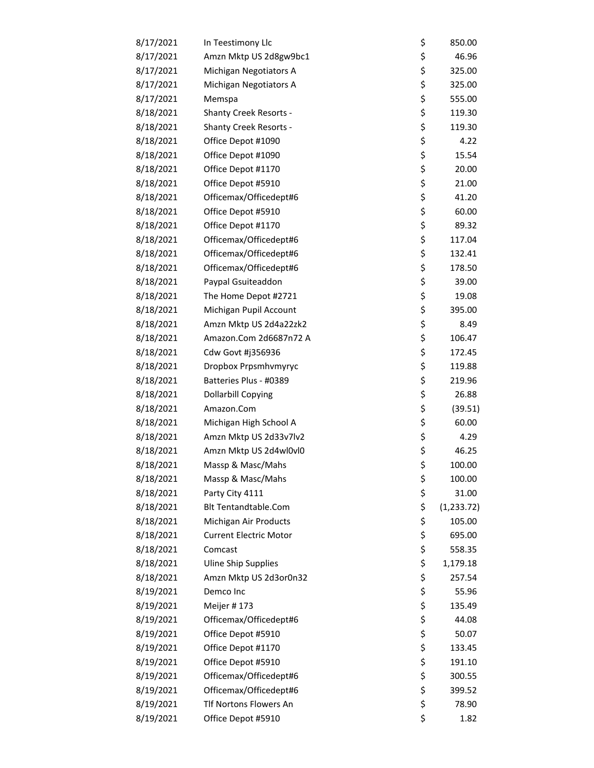| 8/17/2021 | In Teestimony Llc             | \$<br>850.00      |
|-----------|-------------------------------|-------------------|
| 8/17/2021 | Amzn Mktp US 2d8gw9bc1        | \$<br>46.96       |
| 8/17/2021 | Michigan Negotiators A        | \$<br>325.00      |
| 8/17/2021 | Michigan Negotiators A        | \$<br>325.00      |
| 8/17/2021 | Memspa                        | \$<br>555.00      |
| 8/18/2021 | <b>Shanty Creek Resorts -</b> | \$<br>119.30      |
| 8/18/2021 | <b>Shanty Creek Resorts -</b> | \$<br>119.30      |
| 8/18/2021 | Office Depot #1090            | \$<br>4.22        |
| 8/18/2021 | Office Depot #1090            | \$<br>15.54       |
| 8/18/2021 | Office Depot #1170            | \$<br>20.00       |
| 8/18/2021 | Office Depot #5910            | \$<br>21.00       |
| 8/18/2021 | Officemax/Officedept#6        | \$<br>41.20       |
| 8/18/2021 | Office Depot #5910            | \$<br>60.00       |
| 8/18/2021 | Office Depot #1170            | \$<br>89.32       |
| 8/18/2021 | Officemax/Officedept#6        | \$<br>117.04      |
| 8/18/2021 | Officemax/Officedept#6        | \$<br>132.41      |
| 8/18/2021 | Officemax/Officedept#6        | \$<br>178.50      |
| 8/18/2021 | Paypal Gsuiteaddon            | \$<br>39.00       |
| 8/18/2021 | The Home Depot #2721          | \$<br>19.08       |
| 8/18/2021 | Michigan Pupil Account        | \$<br>395.00      |
| 8/18/2021 | Amzn Mktp US 2d4a22zk2        | \$<br>8.49        |
| 8/18/2021 | Amazon.Com 2d6687n72 A        | \$<br>106.47      |
| 8/18/2021 | Cdw Govt #j356936             | \$<br>172.45      |
| 8/18/2021 | Dropbox Prpsmhvmyryc          | \$<br>119.88      |
| 8/18/2021 | Batteries Plus - #0389        | \$<br>219.96      |
| 8/18/2021 | <b>Dollarbill Copying</b>     | \$<br>26.88       |
| 8/18/2021 | Amazon.Com                    | \$<br>(39.51)     |
| 8/18/2021 | Michigan High School A        | \$<br>60.00       |
| 8/18/2021 | Amzn Mktp US 2d33v7lv2        | \$<br>4.29        |
| 8/18/2021 | Amzn Mktp US 2d4wl0vl0        | \$<br>46.25       |
| 8/18/2021 | Massp & Masc/Mahs             | \$<br>100.00      |
| 8/18/2021 | Massp & Masc/Mahs             | \$<br>100.00      |
| 8/18/2021 | Party City 4111               | \$<br>31.00       |
| 8/18/2021 | <b>Blt Tentandtable.Com</b>   | \$<br>(1, 233.72) |
| 8/18/2021 | Michigan Air Products         | \$<br>105.00      |
| 8/18/2021 | <b>Current Electric Motor</b> | \$<br>695.00      |
| 8/18/2021 | Comcast                       | \$<br>558.35      |
| 8/18/2021 | <b>Uline Ship Supplies</b>    | \$<br>1,179.18    |
| 8/18/2021 | Amzn Mktp US 2d3or0n32        | \$<br>257.54      |
| 8/19/2021 | Demco Inc                     | \$<br>55.96       |
| 8/19/2021 | Meijer #173                   | \$<br>135.49      |
| 8/19/2021 | Officemax/Officedept#6        | \$<br>44.08       |
| 8/19/2021 | Office Depot #5910            | \$<br>50.07       |
| 8/19/2021 | Office Depot #1170            | \$<br>133.45      |
| 8/19/2021 | Office Depot #5910            | \$<br>191.10      |
| 8/19/2021 | Officemax/Officedept#6        | \$<br>300.55      |
| 8/19/2021 | Officemax/Officedept#6        | \$<br>399.52      |
| 8/19/2021 | Tlf Nortons Flowers An        | \$<br>78.90       |
| 8/19/2021 | Office Depot #5910            | \$<br>1.82        |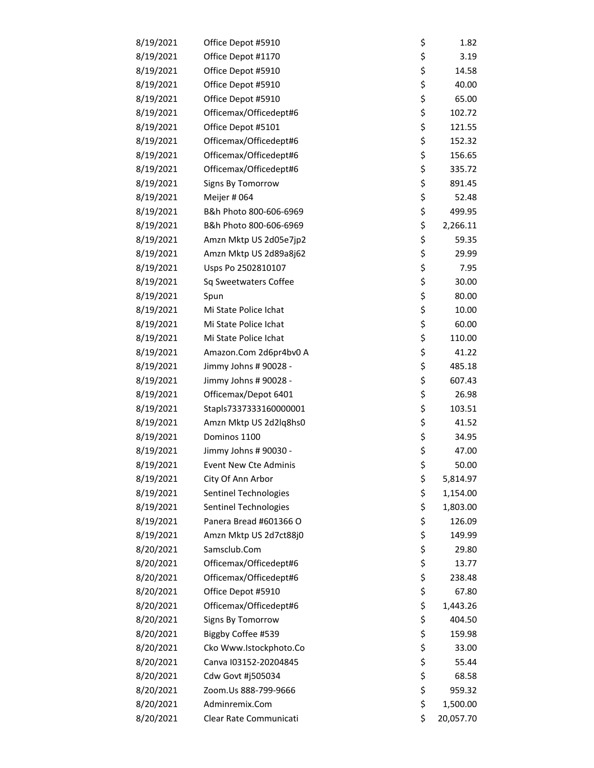| 8/19/2021 | Office Depot #5910           | \$<br>1.82      |
|-----------|------------------------------|-----------------|
| 8/19/2021 | Office Depot #1170           | \$<br>3.19      |
| 8/19/2021 | Office Depot #5910           | \$<br>14.58     |
| 8/19/2021 | Office Depot #5910           | \$<br>40.00     |
| 8/19/2021 | Office Depot #5910           | \$<br>65.00     |
| 8/19/2021 | Officemax/Officedept#6       | \$<br>102.72    |
| 8/19/2021 | Office Depot #5101           | \$<br>121.55    |
| 8/19/2021 | Officemax/Officedept#6       | \$<br>152.32    |
| 8/19/2021 | Officemax/Officedept#6       | \$<br>156.65    |
| 8/19/2021 | Officemax/Officedept#6       | \$<br>335.72    |
| 8/19/2021 | Signs By Tomorrow            | \$<br>891.45    |
| 8/19/2021 | Meijer # 064                 | \$<br>52.48     |
| 8/19/2021 | B&h Photo 800-606-6969       | \$<br>499.95    |
| 8/19/2021 | B&h Photo 800-606-6969       | \$<br>2,266.11  |
| 8/19/2021 | Amzn Mktp US 2d05e7jp2       | \$<br>59.35     |
| 8/19/2021 | Amzn Mktp US 2d89a8j62       | \$<br>29.99     |
| 8/19/2021 | Usps Po 2502810107           | \$<br>7.95      |
| 8/19/2021 | Sq Sweetwaters Coffee        | \$<br>30.00     |
| 8/19/2021 | Spun                         | \$<br>80.00     |
| 8/19/2021 | Mi State Police Ichat        | \$<br>10.00     |
| 8/19/2021 | Mi State Police Ichat        | \$<br>60.00     |
| 8/19/2021 | Mi State Police Ichat        | \$<br>110.00    |
| 8/19/2021 | Amazon.Com 2d6pr4bv0 A       | \$<br>41.22     |
| 8/19/2021 | Jimmy Johns # 90028 -        | \$<br>485.18    |
| 8/19/2021 | Jimmy Johns # 90028 -        | \$<br>607.43    |
| 8/19/2021 | Officemax/Depot 6401         | \$<br>26.98     |
| 8/19/2021 | Stapls7337333160000001       | \$<br>103.51    |
| 8/19/2021 | Amzn Mktp US 2d2lq8hs0       | \$<br>41.52     |
| 8/19/2021 | Dominos 1100                 | \$<br>34.95     |
| 8/19/2021 | Jimmy Johns # 90030 -        | \$<br>47.00     |
| 8/19/2021 | <b>Event New Cte Adminis</b> | \$<br>50.00     |
| 8/19/2021 | City Of Ann Arbor            | \$<br>5,814.97  |
| 8/19/2021 | <b>Sentinel Technologies</b> | \$<br>1,154.00  |
| 8/19/2021 | Sentinel Technologies        | \$<br>1,803.00  |
| 8/19/2021 | Panera Bread #601366 O       | \$<br>126.09    |
| 8/19/2021 | Amzn Mktp US 2d7ct88j0       | \$<br>149.99    |
| 8/20/2021 | Samsclub.Com                 | \$<br>29.80     |
| 8/20/2021 | Officemax/Officedept#6       | \$<br>13.77     |
| 8/20/2021 | Officemax/Officedept#6       | \$<br>238.48    |
| 8/20/2021 | Office Depot #5910           | \$<br>67.80     |
| 8/20/2021 | Officemax/Officedept#6       | \$<br>1,443.26  |
| 8/20/2021 | Signs By Tomorrow            | \$<br>404.50    |
| 8/20/2021 | Biggby Coffee #539           | \$<br>159.98    |
| 8/20/2021 | Cko Www.Istockphoto.Co       | \$<br>33.00     |
| 8/20/2021 | Canva I03152-20204845        | \$<br>55.44     |
| 8/20/2021 | Cdw Govt #j505034            | \$<br>68.58     |
| 8/20/2021 | Zoom.Us 888-799-9666         | \$<br>959.32    |
| 8/20/2021 | Adminremix.Com               | \$<br>1,500.00  |
| 8/20/2021 | Clear Rate Communicati       | \$<br>20,057.70 |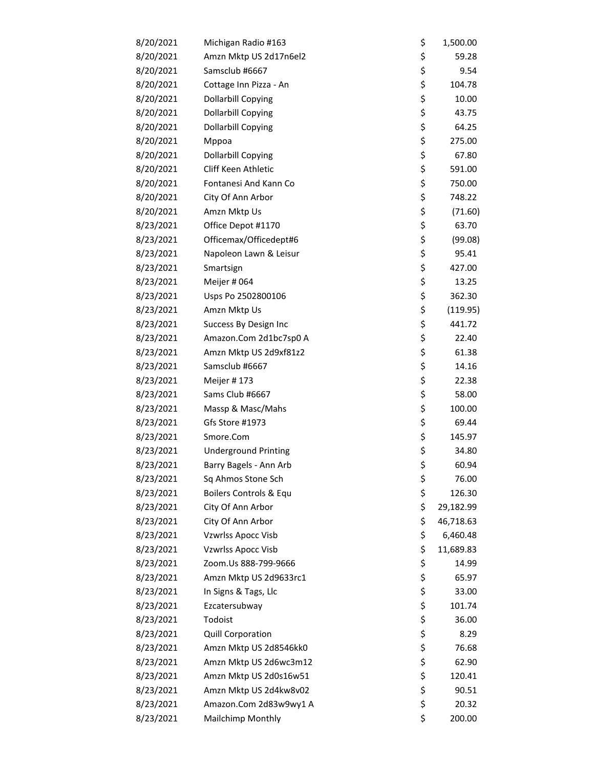| 8/20/2021 | Michigan Radio #163         | \$<br>1,500.00  |
|-----------|-----------------------------|-----------------|
| 8/20/2021 | Amzn Mktp US 2d17n6el2      | \$<br>59.28     |
| 8/20/2021 | Samsclub #6667              | \$<br>9.54      |
| 8/20/2021 | Cottage Inn Pizza - An      | \$<br>104.78    |
| 8/20/2021 | <b>Dollarbill Copying</b>   | \$<br>10.00     |
| 8/20/2021 | <b>Dollarbill Copying</b>   | \$<br>43.75     |
| 8/20/2021 | <b>Dollarbill Copying</b>   | \$<br>64.25     |
| 8/20/2021 | Mppoa                       | \$<br>275.00    |
| 8/20/2021 | <b>Dollarbill Copying</b>   | \$<br>67.80     |
| 8/20/2021 | Cliff Keen Athletic         | \$<br>591.00    |
| 8/20/2021 | Fontanesi And Kann Co       | \$<br>750.00    |
| 8/20/2021 | City Of Ann Arbor           | \$<br>748.22    |
| 8/20/2021 | Amzn Mktp Us                | \$<br>(71.60)   |
| 8/23/2021 | Office Depot #1170          | \$<br>63.70     |
| 8/23/2021 | Officemax/Officedept#6      | \$<br>(99.08)   |
| 8/23/2021 | Napoleon Lawn & Leisur      | \$<br>95.41     |
| 8/23/2021 | Smartsign                   | \$<br>427.00    |
| 8/23/2021 | Meijer # 064                | \$<br>13.25     |
| 8/23/2021 | Usps Po 2502800106          | \$<br>362.30    |
| 8/23/2021 | Amzn Mktp Us                | \$<br>(119.95)  |
| 8/23/2021 | Success By Design Inc       | \$<br>441.72    |
| 8/23/2021 | Amazon.Com 2d1bc7sp0 A      | \$<br>22.40     |
| 8/23/2021 | Amzn Mktp US 2d9xf81z2      | \$<br>61.38     |
| 8/23/2021 | Samsclub #6667              | \$<br>14.16     |
| 8/23/2021 | Meijer #173                 | \$<br>22.38     |
| 8/23/2021 | Sams Club #6667             | \$<br>58.00     |
| 8/23/2021 | Massp & Masc/Mahs           | \$<br>100.00    |
| 8/23/2021 | Gfs Store #1973             | \$<br>69.44     |
| 8/23/2021 | Smore.Com                   | \$<br>145.97    |
| 8/23/2021 | <b>Underground Printing</b> | \$<br>34.80     |
| 8/23/2021 | Barry Bagels - Ann Arb      | \$<br>60.94     |
| 8/23/2021 | Sq Ahmos Stone Sch          | \$<br>76.00     |
| 8/23/2021 | Boilers Controls & Equ      | \$<br>126.30    |
| 8/23/2021 | City Of Ann Arbor           | \$<br>29,182.99 |
| 8/23/2021 | City Of Ann Arbor           | \$<br>46,718.63 |
| 8/23/2021 | Vzwrlss Apocc Visb          | \$<br>6,460.48  |
| 8/23/2021 | Vzwrlss Apocc Visb          | \$<br>11,689.83 |
| 8/23/2021 | Zoom.Us 888-799-9666        | \$<br>14.99     |
| 8/23/2021 | Amzn Mktp US 2d9633rc1      | \$<br>65.97     |
| 8/23/2021 | In Signs & Tags, Llc        | \$<br>33.00     |
| 8/23/2021 | Ezcatersubway               | \$<br>101.74    |
| 8/23/2021 | Todoist                     | \$<br>36.00     |
| 8/23/2021 | Quill Corporation           | \$<br>8.29      |
| 8/23/2021 | Amzn Mktp US 2d8546kk0      | \$<br>76.68     |
| 8/23/2021 | Amzn Mktp US 2d6wc3m12      | \$<br>62.90     |
| 8/23/2021 | Amzn Mktp US 2d0s16w51      | \$<br>120.41    |
| 8/23/2021 | Amzn Mktp US 2d4kw8v02      | \$<br>90.51     |
| 8/23/2021 | Amazon.Com 2d83w9wy1 A      | \$<br>20.32     |
| 8/23/2021 | Mailchimp Monthly           | \$<br>200.00    |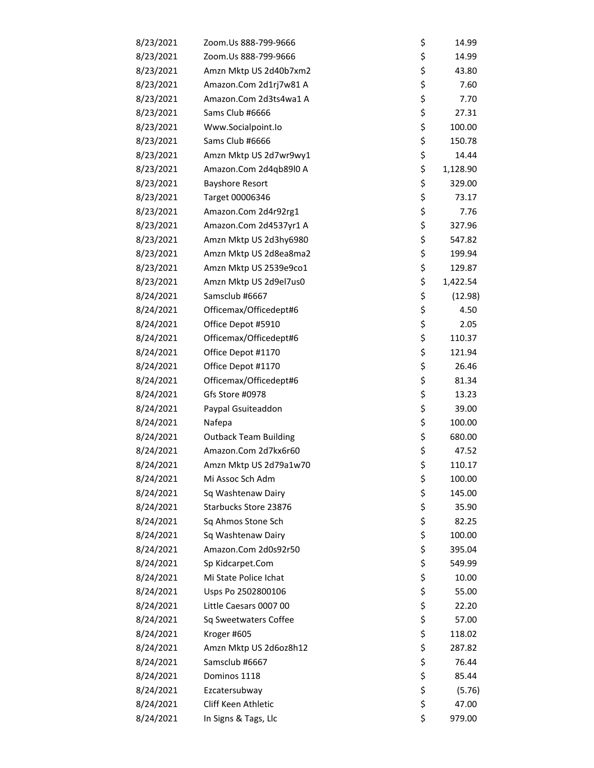| 8/23/2021 | Zoom.Us 888-799-9666         | \$<br>14.99    |
|-----------|------------------------------|----------------|
| 8/23/2021 | Zoom.Us 888-799-9666         | \$<br>14.99    |
| 8/23/2021 | Amzn Mktp US 2d40b7xm2       | \$<br>43.80    |
| 8/23/2021 | Amazon.Com 2d1rj7w81 A       | \$<br>7.60     |
| 8/23/2021 | Amazon.Com 2d3ts4wa1 A       | \$<br>7.70     |
| 8/23/2021 | Sams Club #6666              | \$<br>27.31    |
| 8/23/2021 | Www.Socialpoint.lo           | \$<br>100.00   |
| 8/23/2021 | Sams Club #6666              | \$<br>150.78   |
| 8/23/2021 | Amzn Mktp US 2d7wr9wy1       | \$<br>14.44    |
| 8/23/2021 | Amazon.Com 2d4qb89l0 A       | \$<br>1,128.90 |
| 8/23/2021 | <b>Bayshore Resort</b>       | \$<br>329.00   |
| 8/23/2021 | Target 00006346              | \$<br>73.17    |
| 8/23/2021 | Amazon.Com 2d4r92rg1         | \$<br>7.76     |
| 8/23/2021 | Amazon.Com 2d4537yr1 A       | \$<br>327.96   |
| 8/23/2021 | Amzn Mktp US 2d3hy6980       | \$<br>547.82   |
| 8/23/2021 | Amzn Mktp US 2d8ea8ma2       | \$<br>199.94   |
| 8/23/2021 | Amzn Mktp US 2539e9co1       | \$<br>129.87   |
| 8/23/2021 | Amzn Mktp US 2d9el7us0       | \$<br>1,422.54 |
| 8/24/2021 | Samsclub #6667               | \$<br>(12.98)  |
| 8/24/2021 | Officemax/Officedept#6       | \$<br>4.50     |
| 8/24/2021 | Office Depot #5910           | \$<br>2.05     |
| 8/24/2021 | Officemax/Officedept#6       | \$<br>110.37   |
| 8/24/2021 | Office Depot #1170           | \$<br>121.94   |
| 8/24/2021 | Office Depot #1170           | \$<br>26.46    |
| 8/24/2021 | Officemax/Officedept#6       | \$<br>81.34    |
| 8/24/2021 | Gfs Store #0978              | \$<br>13.23    |
| 8/24/2021 | Paypal Gsuiteaddon           | \$<br>39.00    |
| 8/24/2021 | Nafepa                       | \$<br>100.00   |
| 8/24/2021 | <b>Outback Team Building</b> | \$<br>680.00   |
| 8/24/2021 | Amazon.Com 2d7kx6r60         | \$<br>47.52    |
| 8/24/2021 | Amzn Mktp US 2d79a1w70       | \$<br>110.17   |
| 8/24/2021 | Mi Assoc Sch Adm             | \$<br>100.00   |
| 8/24/2021 | Sq Washtenaw Dairy           | \$<br>145.00   |
| 8/24/2021 | Starbucks Store 23876        | \$<br>35.90    |
| 8/24/2021 | Sq Ahmos Stone Sch           | \$<br>82.25    |
| 8/24/2021 | Sq Washtenaw Dairy           | \$<br>100.00   |
| 8/24/2021 | Amazon.Com 2d0s92r50         | \$<br>395.04   |
| 8/24/2021 | Sp Kidcarpet.Com             | \$<br>549.99   |
| 8/24/2021 | Mi State Police Ichat        | \$<br>10.00    |
| 8/24/2021 | Usps Po 2502800106           | \$<br>55.00    |
| 8/24/2021 | Little Caesars 0007 00       | \$<br>22.20    |
| 8/24/2021 | Sq Sweetwaters Coffee        | \$<br>57.00    |
| 8/24/2021 | Kroger #605                  | \$<br>118.02   |
| 8/24/2021 | Amzn Mktp US 2d6oz8h12       | \$<br>287.82   |
| 8/24/2021 | Samsclub #6667               | \$<br>76.44    |
| 8/24/2021 | Dominos 1118                 | \$<br>85.44    |
| 8/24/2021 | Ezcatersubway                | \$<br>(5.76)   |
| 8/24/2021 | Cliff Keen Athletic          | \$<br>47.00    |
| 8/24/2021 | In Signs & Tags, Llc         | \$<br>979.00   |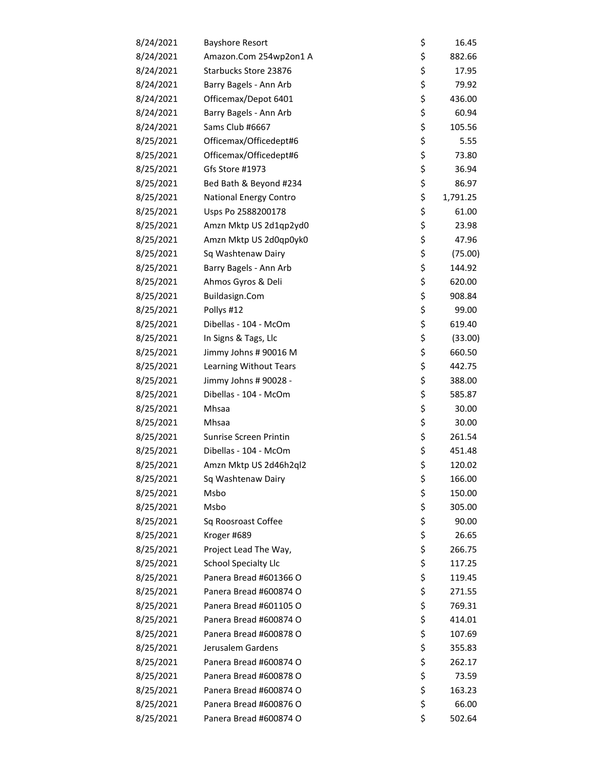| 8/24/2021 | <b>Bayshore Resort</b>      | \$<br>16.45    |
|-----------|-----------------------------|----------------|
| 8/24/2021 | Amazon.Com 254wp2on1 A      | \$<br>882.66   |
| 8/24/2021 | Starbucks Store 23876       | \$<br>17.95    |
| 8/24/2021 | Barry Bagels - Ann Arb      | \$<br>79.92    |
| 8/24/2021 | Officemax/Depot 6401        | \$<br>436.00   |
| 8/24/2021 | Barry Bagels - Ann Arb      | \$<br>60.94    |
| 8/24/2021 | Sams Club #6667             | \$<br>105.56   |
| 8/25/2021 | Officemax/Officedept#6      | \$<br>5.55     |
| 8/25/2021 | Officemax/Officedept#6      | \$<br>73.80    |
| 8/25/2021 | Gfs Store #1973             | \$<br>36.94    |
| 8/25/2021 | Bed Bath & Beyond #234      | \$<br>86.97    |
| 8/25/2021 | National Energy Contro      | \$<br>1,791.25 |
| 8/25/2021 | Usps Po 2588200178          | \$<br>61.00    |
| 8/25/2021 | Amzn Mktp US 2d1qp2yd0      | \$<br>23.98    |
| 8/25/2021 | Amzn Mktp US 2d0qp0yk0      | \$<br>47.96    |
| 8/25/2021 | Sq Washtenaw Dairy          | \$<br>(75.00)  |
| 8/25/2021 | Barry Bagels - Ann Arb      | \$<br>144.92   |
| 8/25/2021 | Ahmos Gyros & Deli          | \$<br>620.00   |
| 8/25/2021 | Buildasign.Com              | \$<br>908.84   |
| 8/25/2021 | Pollys #12                  | \$<br>99.00    |
| 8/25/2021 | Dibellas - 104 - McOm       | \$<br>619.40   |
| 8/25/2021 | In Signs & Tags, Llc        | \$<br>(33.00)  |
| 8/25/2021 | Jimmy Johns # 90016 M       | \$<br>660.50   |
| 8/25/2021 | Learning Without Tears      | \$<br>442.75   |
| 8/25/2021 | Jimmy Johns # 90028 -       | \$<br>388.00   |
| 8/25/2021 | Dibellas - 104 - McOm       | \$<br>585.87   |
| 8/25/2021 | Mhsaa                       | \$<br>30.00    |
| 8/25/2021 | Mhsaa                       | \$<br>30.00    |
| 8/25/2021 | Sunrise Screen Printin      | \$<br>261.54   |
| 8/25/2021 | Dibellas - 104 - McOm       | \$<br>451.48   |
| 8/25/2021 | Amzn Mktp US 2d46h2ql2      | \$<br>120.02   |
| 8/25/2021 | Sq Washtenaw Dairy          | \$<br>166.00   |
| 8/25/2021 | Msbo                        | \$<br>150.00   |
| 8/25/2021 | Msbo                        | \$<br>305.00   |
| 8/25/2021 | Sq Roosroast Coffee         | \$<br>90.00    |
| 8/25/2021 | Kroger #689                 | \$<br>26.65    |
| 8/25/2021 | Project Lead The Way,       | \$<br>266.75   |
| 8/25/2021 | <b>School Specialty Llc</b> | \$<br>117.25   |
| 8/25/2021 | Panera Bread #601366 O      | \$<br>119.45   |
| 8/25/2021 | Panera Bread #600874 O      | \$<br>271.55   |
| 8/25/2021 | Panera Bread #601105 O      | \$<br>769.31   |
| 8/25/2021 | Panera Bread #600874 O      | \$<br>414.01   |
| 8/25/2021 | Panera Bread #600878 O      | \$<br>107.69   |
| 8/25/2021 | Jerusalem Gardens           | \$<br>355.83   |
| 8/25/2021 | Panera Bread #600874 O      | \$<br>262.17   |
| 8/25/2021 | Panera Bread #600878 O      | \$<br>73.59    |
| 8/25/2021 | Panera Bread #600874 O      | \$<br>163.23   |
| 8/25/2021 | Panera Bread #600876 O      | \$<br>66.00    |
| 8/25/2021 | Panera Bread #600874 O      | \$<br>502.64   |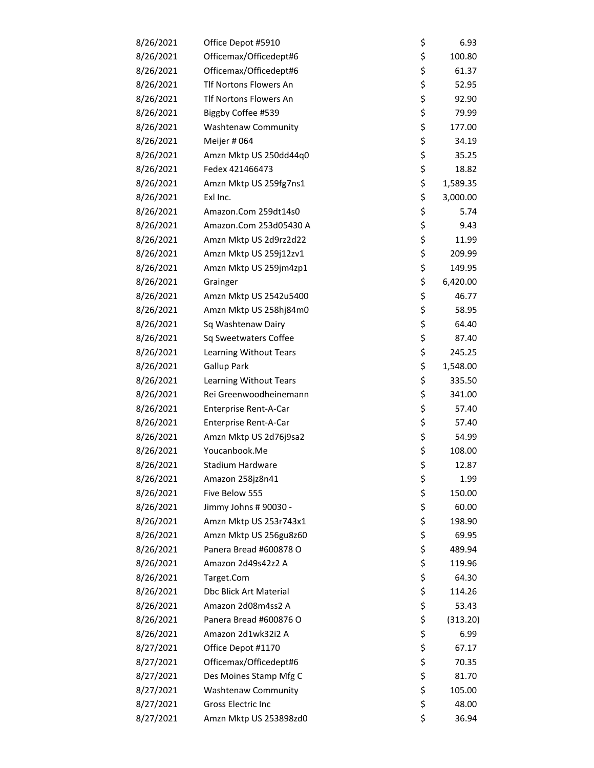| 8/26/2021 | Office Depot #5910         | \$<br>6.93     |
|-----------|----------------------------|----------------|
| 8/26/2021 | Officemax/Officedept#6     | \$<br>100.80   |
| 8/26/2021 | Officemax/Officedept#6     | \$<br>61.37    |
| 8/26/2021 | Tlf Nortons Flowers An     | \$<br>52.95    |
| 8/26/2021 | Tlf Nortons Flowers An     | \$<br>92.90    |
| 8/26/2021 | Biggby Coffee #539         | \$<br>79.99    |
| 8/26/2021 | <b>Washtenaw Community</b> | \$<br>177.00   |
| 8/26/2021 | Meijer # 064               | \$<br>34.19    |
| 8/26/2021 | Amzn Mktp US 250dd44q0     | \$<br>35.25    |
| 8/26/2021 | Fedex 421466473            | \$<br>18.82    |
| 8/26/2021 | Amzn Mktp US 259fg7ns1     | \$<br>1,589.35 |
| 8/26/2021 | Exl Inc.                   | \$<br>3,000.00 |
| 8/26/2021 | Amazon.Com 259dt14s0       | \$<br>5.74     |
| 8/26/2021 | Amazon.Com 253d05430 A     | \$<br>9.43     |
| 8/26/2021 | Amzn Mktp US 2d9rz2d22     | \$<br>11.99    |
| 8/26/2021 | Amzn Mktp US 259j12zv1     | \$<br>209.99   |
| 8/26/2021 | Amzn Mktp US 259jm4zp1     | \$<br>149.95   |
| 8/26/2021 | Grainger                   | \$<br>6,420.00 |
| 8/26/2021 | Amzn Mktp US 2542u5400     | \$<br>46.77    |
| 8/26/2021 | Amzn Mktp US 258hj84m0     | \$<br>58.95    |
| 8/26/2021 | Sq Washtenaw Dairy         | \$<br>64.40    |
| 8/26/2021 | Sq Sweetwaters Coffee      | \$<br>87.40    |
| 8/26/2021 | Learning Without Tears     | \$<br>245.25   |
| 8/26/2021 | <b>Gallup Park</b>         | \$<br>1,548.00 |
| 8/26/2021 | Learning Without Tears     | \$<br>335.50   |
| 8/26/2021 | Rei Greenwoodheinemann     | \$<br>341.00   |
| 8/26/2021 | Enterprise Rent-A-Car      | \$<br>57.40    |
| 8/26/2021 | Enterprise Rent-A-Car      | \$<br>57.40    |
| 8/26/2021 | Amzn Mktp US 2d76j9sa2     | \$<br>54.99    |
| 8/26/2021 | Youcanbook.Me              | \$<br>108.00   |
| 8/26/2021 | <b>Stadium Hardware</b>    | \$<br>12.87    |
| 8/26/2021 | Amazon 258jz8n41           | \$<br>1.99     |
| 8/26/2021 | Five Below 555             | \$<br>150.00   |
| 8/26/2021 | Jimmy Johns # 90030 -      | \$<br>60.00    |
| 8/26/2021 | Amzn Mktp US 253r743x1     | \$<br>198.90   |
| 8/26/2021 | Amzn Mktp US 256gu8z60     | \$<br>69.95    |
| 8/26/2021 | Panera Bread #600878 O     | \$<br>489.94   |
| 8/26/2021 | Amazon 2d49s42z2 A         | \$<br>119.96   |
| 8/26/2021 | Target.Com                 | \$<br>64.30    |
| 8/26/2021 | Dbc Blick Art Material     | \$<br>114.26   |
| 8/26/2021 | Amazon 2d08m4ss2 A         | \$<br>53.43    |
| 8/26/2021 | Panera Bread #600876 O     | \$<br>(313.20) |
| 8/26/2021 | Amazon 2d1wk32i2 A         | \$<br>6.99     |
| 8/27/2021 | Office Depot #1170         | \$<br>67.17    |
| 8/27/2021 | Officemax/Officedept#6     | \$<br>70.35    |
| 8/27/2021 | Des Moines Stamp Mfg C     | \$<br>81.70    |
| 8/27/2021 | <b>Washtenaw Community</b> | \$<br>105.00   |
| 8/27/2021 | Gross Electric Inc         | \$<br>48.00    |
| 8/27/2021 | Amzn Mktp US 253898zd0     | \$<br>36.94    |